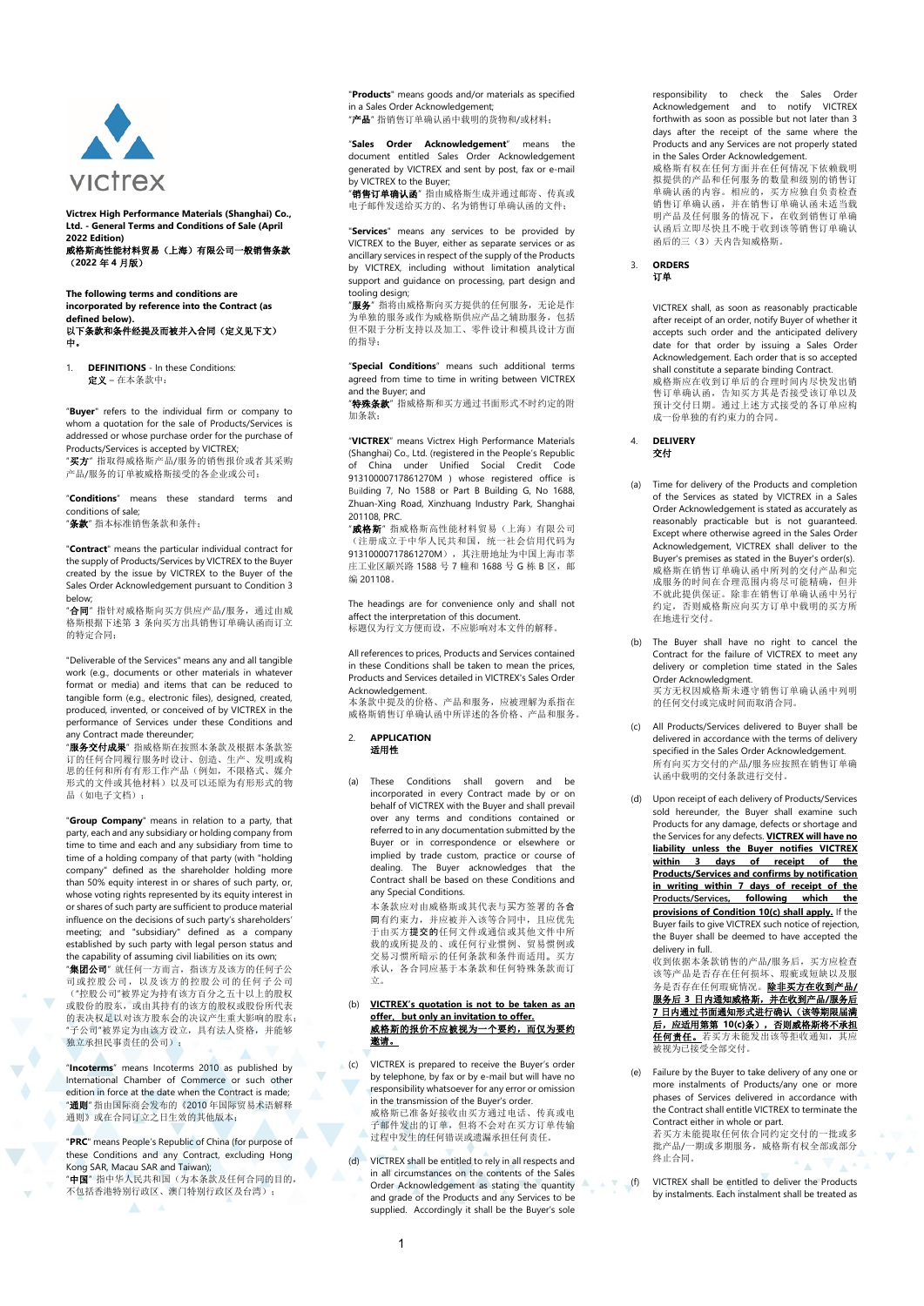

**Victrex High Performance Materials (Shanghai) Co., Ltd. - General Terms and Conditions of Sale (April 2022 Edition)**  威格斯高性能材料贸易(上海)有限公司一般销售条款 (**2022** 年 **4** 月版)

**The following terms and conditions are incorporated by reference into the Contract (as defined below).**  以下条款和条件经提及而被并入合同(定义见下文) 中。

1. **DEFINITIONS** - In these Conditions: 定义 – 在本条款中:

"**Buyer**" refers to the individual firm or company to whom a quotation for the sale of Products/Services is addressed or whose purchase order for the purchase of Products/Services is accepted by VICTREX;

"买方" 指取得威格斯产品/服务的销售报价或者其采购 产品/服务的订单被威格斯接受的各企业或公司;

"**Conditions**" means these standard terms and conditions of sale;

"条款" 指本标准销售条款和条件;

"**Contract**" means the particular individual contract for the supply of Products/Services by VICTREX to the Buyer created by the issue by VICTREX to the Buyer of the Sales Order Acknowledgement pursuant to Conditio[n 3](#page-0-0) below;

"合同"指针对威格斯向买方供应产品/服务,通过由威 格斯根据下述第 3 条向买方出具销售订单确认函而订立 的特定合同;

"Deliverable of the Services" means any and all tangible work (e.g., documents or other materials in whatever format or media) and items that can be reduced to tangible form (e.g., electronic files), designed, created, produced, invented, or conceived of by VICTREX in the performance of Services under these Conditions and any Contract made thereunder;

"服务交付成果" 指威格斯在按照本条款及根据本条款签 订的任何合同履行服务时设计、创造、生产、发明或构 思的任何和所有有形工作产品(例如,不限格式、媒介 形式的文件或其他材料)以及可以还原为有形形式的物 品(如电子文档);

"**Group Company**" means in relation to a party, that party, each and any subsidiary or holding company from time to time and each and any subsidiary from time to time of a holding company of that party (with "holding company" defined as the shareholder holding more than 50% equity interest in or shares of such party, or, whose voting rights represented by its equity interest in or shares of such party are sufficient to produce material influence on the decisions of such party's shareholders' meeting; and "subsidiary" defined as a company established by such party with legal person status and the capability of assuming civil liabilities on its own;

"**集团公司**" 就任何一方而言, 指该方及该方的任何子公 司或控股公司,以及该方的控股公司的任何子公司 ("控股公司"被界定为持有该方百分之五十以上的股权 或股份的股东,或由其持有的该方的股权或股份所代表 的表决权足以对该方股东会的决议产生重大影响的股东; "子公司"被界定为由该方设立,具有法人资格,并能够 独立承担民事责任的公司);

"**Incoterms**" means Incoterms 2010 as published by International Chamber of Commerce or such other edition in force at the date when the Contract is made; "通则" 指由国际商会发布的《2010 年国际贸易术语解释 通则》或在合同订立之日生效的其他版本;

"**PRC**" means People's Republic of China (for purpose of these Conditions and any Contract, excluding Hong Kong SAR, Macau SAR and Taiwan); "中国" 指中华人民共和国(为本条款及任何合同的目的,

不包括香港特别行政区、澳门特别行政区及台湾);

"**Products**" means goods and/or materials as specified in a Sales Order Acknowledgement; "产品" 指销售订单确认函中载明的货物和/或材料;

"**Sales Order Acknowledgement**" means the document entitled Sales Order Acknowledgement generated by VICTREX and sent by post, fax or e-mail by VICTREX to the Buyer;

"**销售订单确认函**" 指由威格斯生成并通过邮寄、传真或<br>电子邮件发送给买方的、名为销售订单确认函的文件;

"**Services**" means any services to be provided by VICTREX to the Buyer, either as separate services or as ancillary services in respect of the supply of the Products by VICTREX, including without limitation analytical support and guidance on processing, part design and tooling design;

'服务"指将由威格斯向买方提供的任何服务,无论是作 为单独的服务或作为威格斯供应产品之辅助服务,包括 但不限于分析支持以及加工、零件设计和模具设计方面 的指导;

"**Special Conditions**" means such additional terms agreed from time to time in writing between VICTREX and the Buyer; and

"特殊条款" 指威格斯和买方通过书面形式不时约定的附 加条款;

"**VICTREX**" means Victrex High Performance Materials (Shanghai) Co., Ltd. (registered in the People's Republic of China under Unified Social Credit Code 91310000717861270M ) whose registered office is Building 7, No 1588 or Part B Building G, No 1688, Zhuan-Xing Road, Xinzhuang Industry Park, Shanghai 201108, PRC.

"**威格斯**" 指威格斯高性能材料贸易(上海)有限公司<br>(注册成立于中华人民共和国,统一社会信用代码为 91310000717861270M), 其注册地址为中国上海市莘 庄工业区颛兴路 1588 号 7 幢和 1688 号 G 栋 B 区, 邮 编 201108。

The headings are for convenience only and shall not affect the interpretation of this document. ancer the mempretation of this accument.<br>标题仅为行文方便而设,不应影响对本文件的解释。

All references to prices, Products and Services contained in these Conditions shall be taken to mean the prices, Products and Services detailed in VICTREX's Sales Order Acknowledgement.

本条款中提及的价格、产品和服务,应被理解为系指在 威格斯销售订单确认函中所详述的各价格、产品和服务。

### 2. **APPLICATION**  适用性

立。

(a) These Conditions shall govern and be incorporated in every Contract made by or on behalf of VICTREX with the Buyer and shall prevail over any terms and conditions contained or referred to in any documentation submitted by the Buyer or in correspondence or elsewhere or implied by trade custom, practice or course of dealing. The Buyer acknowledges that the Contract shall be based on these Conditions and any Special Conditions.

本条款应对由威格斯或其代表与买方签署的各合 同有约束力,并应被并入该等合同中,且应优先 于由买方提交的任何文件或通信或其他文件中所 载的或所提及的、或任何行业惯例、贸易惯例或 交易习惯所暗示的任何条款和条件而适用。买方 承认,各合同应基于本条款和任何特殊条款而订

#### (b) **VICTREX's quotation is not to be taken as an offer**, **but only an invitation to offer.**  威格斯的报价不应被视为一个要约,而仅为要约 邀请。

(c) VICTREX is prepared to receive the Buyer's order by telephone, by fax or by e-mail but will have no responsibility whatsoever for any error or omission in the transmission of the Buyer's order. 威格斯已准备好接收由买方通过电话、传真或电 子邮件发出的订单,但将不会对在买方订单传输 过程中发生的任何错误或遗漏承担任何责任。

(d) VICTREX shall be entitled to rely in all respects and in all circumstances on the contents of the Sales Order Acknowledgement as stating the quantity and grade of the Products and any Services to be supplied. Accordingly it shall be the Buyer's sole

responsibility to check the Sales Order Acknowledgement and to notify VICTREX forthwith as soon as possible but not later than 3 days after the receipt of the same where the Products and any Services are not properly stated in the Sales Order Acknowledgement.

威格斯有权在任何方面并在任何情况下依赖载明 拟提供的产品和任何服务的数量和级别的销售订 单确认函的内容。相应的,买方应独自负责检查 销售订单确认函,并在销售订单确认函未适当载 明产品及任何服务的情况下,在收到销售订单确 认函后立即尽快且不晚于收到该等销售订单确认 函后的三(3)天内告知威格斯。

<span id="page-0-0"></span>3. **ORDERS**  订单

> VICTREX shall, as soon as reasonably practicable after receipt of an order, notify Buyer of whether it accepts such order and the anticipated delivery date for that order by issuing a Sales Order Acknowledgement. Each order that is so accepted shall constitute a separate binding Contract. 威格斯应在收到订单后的合理时间内尽快发出销 售订单确认函,告知买方其是否接受该订单以及 预计交付日期。通过上述方式接受的各订单应构 成一份单独的有约束力的合同。

# 4. **DELIVERY**  交付

- (a) Time for delivery of the Products and completion of the Services as stated by VICTREX in a Sales Order Acknowledgement is stated as accurately as reasonably practicable but is not guaranteed. Except where otherwise agreed in the Sales Order Acknowledgement, VICTREX shall deliver to the Buyer's premises as stated in the Buyer's order(s). 成格斯在销售订单确认函中所列的交付产品和完 成服务的时间在合理范围内将尽可能精确,但并 不就此提供保证。除非在销售订单确认函中另行 约定,否则威格斯应向买方订单中载明的买方所 在地进行交付。
- (b) The Buyer shall have no right to cancel the Contract for the failure of VICTREX to meet any delivery or completion time stated in the Sales Order Acknowledgment. 买方无权因威格斯未遵守销售订单确认函中列明 的任何交付或完成时间而取消合同。
- <span id="page-0-1"></span>All Products/Services delivered to Buyer shall be delivered in accordance with the terms of delivery specified in the Sales Order Acknowledgement. 所有向买方交付的产品/服务应按照在销售订单确 认函中载明的交付条款进行交付。
- <span id="page-0-2"></span>(d) Upon receipt of each delivery of Products/Services sold hereunder, the Buyer shall examine such Products for any damage, defects or shortage and the Services for any defects. **VICTREX will have no liability unless the Buyer notifies VICTREX 3 days of receipt Products/Services and confirms by notification in writing within 7 days of receipt of the following which the provisions of Conditio[n 10\(c\)](#page-2-0) shall apply.** If the Buyer fails to give VICTREX such notice of rejection, the Buyer shall be deemed to have accepted the delivery in full.

收到依据本条款销售的产品/服务后,买方应检查 该等产品是否存在任何损坏、瑕疵或短缺以及服 务是否存在任何瑕疵情况。除非买方在收到产品**/** 服务后 **3** 日内通知威格斯,并在收到产品**/**服务后 **7** 日内通过书面通知形式进行确认(该等期限届满 后,应适用第第 **1[0\(c\)](#page-0-1)**条),否则威格斯将不承担 <u>任何责任。</u>若买方未能发出该等拒收通知,其应<br>被视为已接受全部交付。

(e) Failure by the Buyer to take delivery of any one or more instalments of Products/any one or more phases of Services delivered in accordance with the Contract shall entitle VICTREX to terminate the Contract either in whole or part. 若买方未能提取任何依合同约定交付的一批或多

批产品/一期或多期服务,威格斯有权全部或部分 终止合同。

(f) VICTREX shall be entitled to deliver the Products by instalments. Each instalment shall be treated as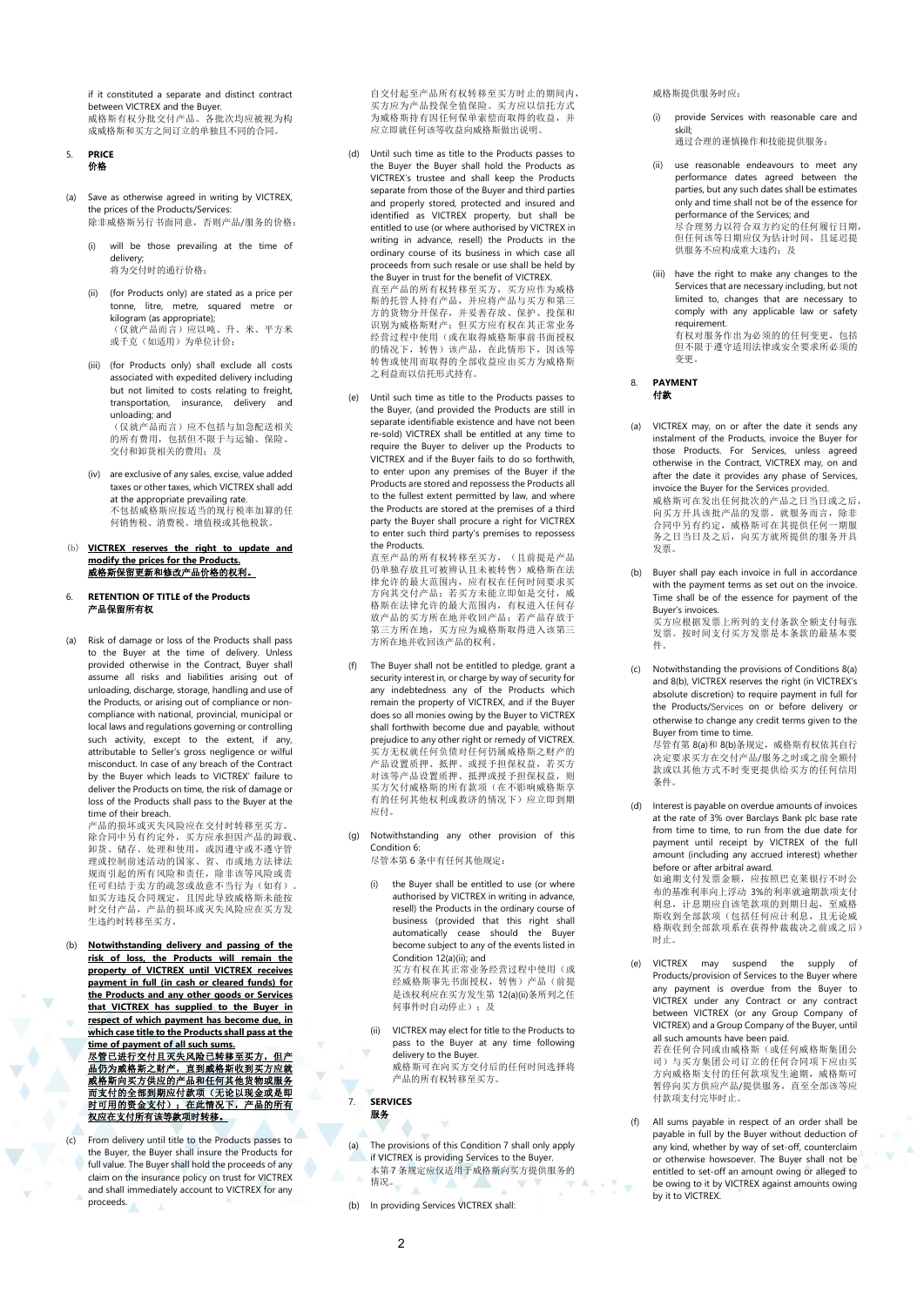if it constituted a separate and distinct contract between VICTREX and the Buyer. 威格斯有权分批交付产品。各批次均应被视为构 成威格斯和买方之间订立的单独且不同的合同。

#### 5. **PRICE**  价格

- (a) Save as otherwise agreed in writing by VICTREX, the prices of the Products/Services: 除非威格斯另行书面同意,否则产品/服务的价格:
	- (i) will be those prevailing at the time of delivery; 将为交付时的通行价格;
	- (ii) (for Products only) are stated as a price per tonne, litre, metre, squared metre or kilogram (as appropriate); (仅就产品而言)应以吨、升、米、平方米<br>或千克(如适用)为单位计价;
	- (iii) (for Products only) shall exclude all costs associated with expedited delivery including but not limited to costs relating to freight, transportation, insurance, delivery and unloading; and (仅就产品而言)应不包括与加急配送相关

的所有费用,包括但不限于与运输、保险、 交付和卸货相关的费用;及

- (iv) are exclusive of any sales, excise, value added taxes or other taxes, which VICTREX shall add at the appropriate prevailing rate. 不包括威格斯应按适当的现行税率加算的任 1 日無数計列 第12021135213 21 212 212
- (b) **VICTREX reserves the right to update and modify the prices for the Products.**  威格斯保留更新和修改产品价格的权利。
- <span id="page-1-0"></span>6. **RETENTION OF TITLE of the Products** 产品保留所有权
- (a) Risk of damage or loss of the Products shall pass to the Buyer at the time of delivery. Unless provided otherwise in the Contract, Buyer shall assume all risks and liabilities arising out of unloading, discharge, storage, handling and use of the Products, or arising out of compliance or noncompliance with national, provincial, municipal or local laws and regulations governing or controlling such activity, except to the extent, if any, attributable to Seller's gross negligence or wilful misconduct. In case of any breach of the Contract by the Buyer which leads to VICTREX' failure to deliver the Products on time, the risk of damage or loss of the Products shall pass to the Buyer at the time of their breach.

产品的损坏或灭失风险应在交付时转移至买方。 除合同中另有约定外,买方应承担因产品的卸载、 卸货、储存、处理和使用,或因遵守或不遵守管 理或控制前述活动的国家、省、市或地方法律法 规而引起的所有风险和责任,除非该等风险或责 任可归结于卖方的疏忽或故意不当行为(如有)。 如买方违反合同规定,且因此导致威格斯未能按 时交付产品,产品的损坏或灭失风险应在买方发 生违约时转移至买方。

(b) **Notwithstanding delivery and passing of the risk of loss, the Products will remain the property of VICTREX until VICTREX receives payment in full (in cash or cleared funds) for the Products and any other goods or Services that VICTREX has supplied to the Buyer in respect of which payment has become due, in which case title to the Products shall pass at the time of payment of all such sums.**

尽管已进行交付且灭失风险已转移至买方,但产品<br>品仍为威格斯之财产,直到威格斯收到买方应就<br>威格斯向买方供应的产品和任何其他货物或服务<br>而支付的有法<br>时可用的资金支付);在此情况下,产品的所有<br>时可用的资金支付);在此情况下,产品的所有

(c) From delivery until title to the Products passes to the Buyer, the Buyer shall insure the Products for full value. The Buyer shall hold the proceeds of any claim on the insurance policy on trust for VICTREX and shall immediately account to VICTREX for any proceeds.

自交付起至产品所有权转移至买方时止的期间内, 买方应为产品投保全值保险。买方应以信托方式 为威格斯持有因任何保单索偿而取得的收益,并 应立即就任何该等收益向威格斯做出说明。

- (d) Until such time as title to the Products passes to the Buyer the Buyer shall hold the Products as VICTREX's trustee and shall keep the Products separate from those of the Buyer and third parties and properly stored, protected and insured and identified as VICTREX property, but shall be entitled to use (or where authorised by VICTREX in writing in advance, resell) the Products in the ordinary course of its business in which case all proceeds from such resale or use shall be held by the Buyer in trust for the benefit of VICTREX. 直至产品的所有权转移至买方,买方应作为威格 斯的托管人持有产品,并应将产品与买方和第三 方的货物分开保存,并妥善存放、保护、投保和 识别为威格斯财产;但买方应有权在其正常业务 经营过程中使用(或在取得威格斯事前书面授权 的情况下,转售)该产品,在此情形下,因该等<br>转售或使用而取得的全部收益应由买方为威格斯 之利益而以信托形式持有。
- (e) Until such time as title to the Products passes to the Buyer, (and provided the Products are still in separate identifiable existence and have not been re-sold) VICTREX shall be entitled at any time to require the Buyer to deliver up the Products to VICTREX and if the Buyer fails to do so forthwith, to enter upon any premises of the Buyer if the Products are stored and repossess the Products all to the fullest extent permitted by law, and where the Products are stored at the premises of a third party the Buyer shall procure a right for VICTREX to enter such third party's premises to repossess the Products.

直至产品的所有权转移至买方, (且前提是产品 仍单独存放且可被辨认且未被转售)威格斯在法 律允许的最大范围内,应有权在任何时间要求买 方向其交付产品;若买方未能立即如是交付,威<br>格斯在法律允许的最大范围内,有权进入任何存 放产品的买方所在地并收回产品;若产品存放于 第三方所在地,买方应为威格斯取得进入该第三<br>方所在地并收回该产品的权利。

- The Buyer shall not be entitled to pledge, grant a security interest in, or charge by way of security for any indebtedness any of the Products which remain the property of VICTREX, and if the Buyer does so all monies owing by the Buyer to VICTREX shall forthwith become due and payable, without prejudice to any other right or remedy of VICTREX. 买方无权就任何负债对任何仍属威格斯之财产的 产品设置质押、抵押、或授予担保权益,若买方<br>对该等产品设置质押、抵押或授予担保权益,则 买方欠付威格斯的所有款项(在不影响威格斯享 有的任何其他权利或救济的情况下)应立即到期 应付。
- (g) Notwithstanding any other provision of this Conditio[n 6:](#page-1-0)

尽管本第 6 条中有任何其他规定:

- the Buyer shall be entitled to use (or where authorised by VICTREX in writing in advance, resell) the Products in the ordinary course of business (provided that this right shall automatically cease should the Buyer become subject to any of the events listed in Conditio[n 12\(a\)\(ii\);](#page-3-0) and 买方有权在其正常业务经营过程中使用(或 经威格斯事先书面授权,转售)产品(前提 是该权利应在买方发生第 [12\(a\)\(ii\)](#page-3-0)条所列之任 何事件时自动停止);及
- (ii) VICTREX may elect for title to the Products to pass to the Buyer at any time following delivery to the Buyer. 威格斯可在向买方交付后的任何时间选择将 产品的所有权转移至买方。

<span id="page-1-1"></span>7. **SERVICES** 服务

(a) The provisions of this Conditio[n 7](#page-1-1) shall only apply if VICTREX is providing Services to the Buyer. 本第 7 条规定应仅适用于威格斯向买方提供服务的 情况。  $\sqrt{2}$  $\mathbf{v}$ **V A** 

(b) In providing Services VICTREX shall:

威格斯提供服务时应:

(i) provide Services with reasonable care and skill;

通过合理的谨慎操作和技能提供服务;

- (ii) use reasonable endeavours to meet any performance dates agreed between the parties, but any such dates shall be estimates only and time shall not be of the essence for performance of the Services; and 尽合理努力以符合双方约定的任何履行日期, 但任何该等日期应仅为估计时间,且延迟提 供服务不应构成重大违约;及
- (iii) have the right to make any changes to the Services that are necessary including, but not limited to, changes that are necessary to comply with any applicable law or safety requirement. .cqancmen... 但不限于遵守适用法律或安全要求所必须的 变更。

#### 8. **PAYMENT** 付款

件。

条件。

<span id="page-1-2"></span>VICTREX may, on or after the date it sends any instalment of the Products, invoice the Buyer for those Products. For Services, unless agreed otherwise in the Contract, VICTREX may, on and after the date it provides any phase of Services, invoice the Buyer for the Services provided, 威格斯可在发出任何批次的产品之日当日或之后, 向买方开具该批产品的发票。就服务而言,除非 合同中另有约定,威格斯可在其提供任何一期服 务之日当日及之后,向买方就所提供的服务开具 发票。

<span id="page-1-3"></span>(b) Buyer shall pay each invoice in full in accordance with the payment terms as set out on the invoice. Time shall be of the essence for payment of the Buyer's invoices. 买方应根据发票上所列的支付条款全额支付每张 发票。按时间支付买方发票是本条款的最基本要

Notwithstanding the provisions of Conditions  $8(a)$ an[d 8\(b\),](#page-1-3) VICTREX reserves the right (in VICTREX's absolute discretion) to require payment in full for the Products/Services on or before delivery or otherwise to change any credit terms given to the Buyer from time to time. 尽管有第 8(a)和 8(b)条规定,威格斯有权依其自行 决定要求买方在交付产品/服务之时或之前全额付 款或以其他方式不时变更提供给买方的任何信用

- (d) Interest is payable on overdue amounts of invoices at the rate of 3% over Barclays Bank plc base rate from time to time, to run from the due date for payment until receipt by VICTREX of the full amount (including any accrued interest) whether before or after arbitral award. 如逾期支付发票金额,应按照巴克莱银行不时公 布的基准利率向上浮动 3%的利率就逾期款项支付 利息,计息期应自该笔款项的到期日起,至威格 斯收到全部款项(包括任何应计利息,且无论威 格斯收到全部款项系在获得仲裁裁决之前或之后) 时止。
- (e) VICTREX may suspend the supply of Products/provision of Services to the Buyer where any payment is overdue from the Buyer to VICTREX under any Contract or any contract between VICTREX (or any Group Company of VICTREX) and a Group Company of the Buyer, until all such amounts have been paid. 若在任何合同或由威格斯(或任何威格斯集团公

司)与买方集团公司订立的任何合同项下应由买 方向威格斯支付的任何款项发生逾期,威格斯可 暂停向买方供应产品/提供服务,直至全部该等应 付款项支付完毕时止。

All sums payable in respect of an order shall be payable in full by the Buyer without deduction of any kind, whether by way of set-off, counterclaim or otherwise howsoever. The Buyer shall not be entitled to set-off an amount owing or alleged to be owing to it by VICTREX against amounts owing by it to VICTREX.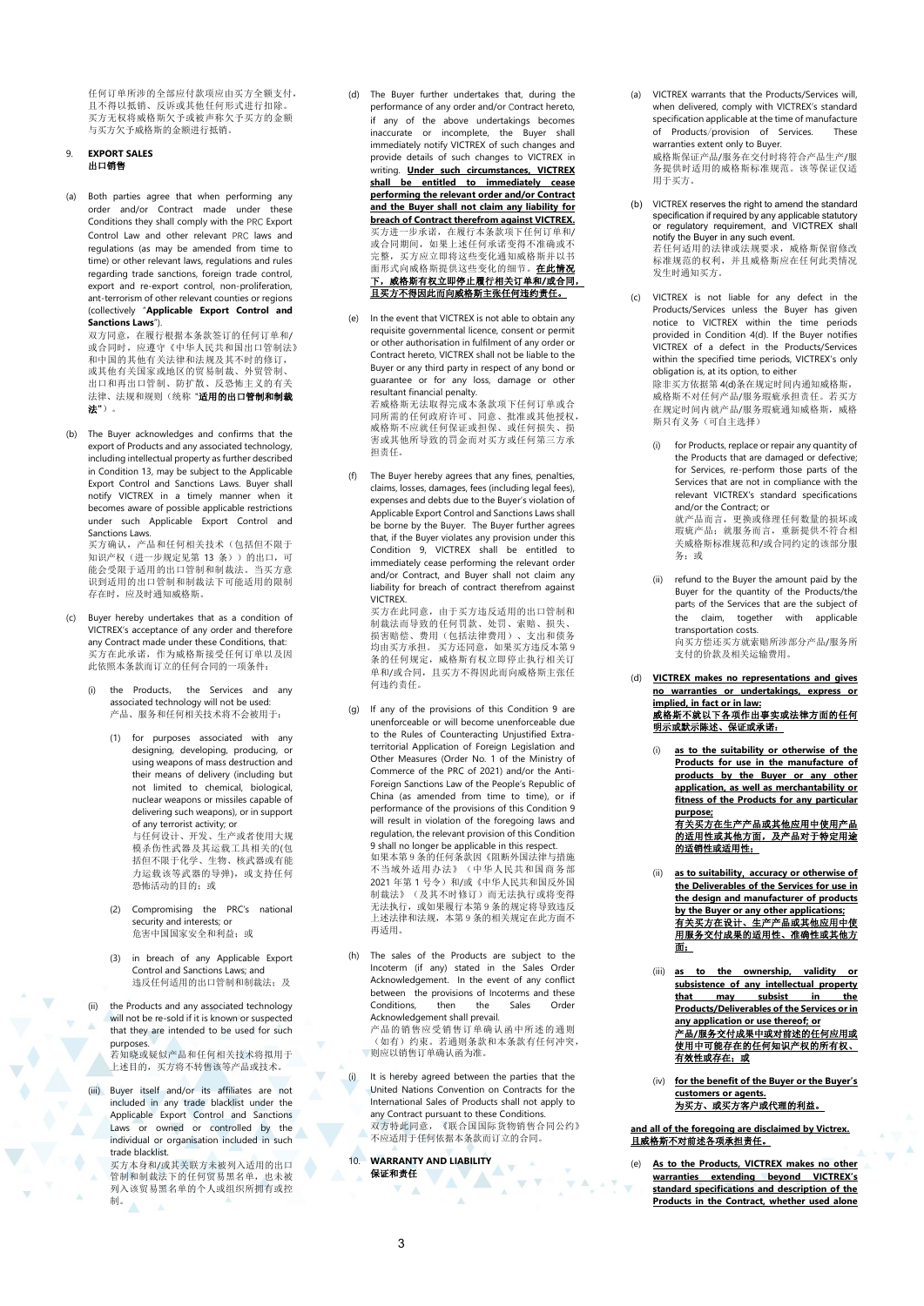任何订单所涉的全部应付款项应由买方全额支付, 且不得以抵销、反诉或其他任何形式进行扣除。 买方无权将威格斯欠予或被声称欠予买方的金额 与买方欠予威格斯的金额进行抵销。

## <span id="page-2-1"></span>9. **EXPORT SALES**  出口销售

(a) Both parties agree that when performing any order and/or Contract made under these Conditions they shall comply with the PRC Export Control Law and other relevant PRC laws and regulations (as may be amended from time to time) or other relevant laws, regulations and rules regarding trade sanctions, foreign trade control, export and re-export control, non-proliferation, ant-terrorism of other relevant counties or regions (collectively "**Applicable Export Control and Sanctions Laws**"). 双方同意,在履行根据本条款签订的任何订单和/ 或合同时,应遵守《中华人民共和国出口管制法》

和中国的其他有关法律和法规及其不时的修订, 或其他有关国家或地区的贸易制裁、外贸管制、 3. 3. 3. 3. 3. 3. 3. 3. 3. 3. 3. 3. 4. 4. 5. 4. 5. 4. 5. 4. 5. 4. 5. 4. 5. 4. 5. 4. 5. 4. 5. 4. 5. 4. 5. 4. 5. 4. 5. 4. 5. 4. 5. 4. 5. 4. 5. 4. 5. 4. 5. 4. 5. 4. 5. 4. 5. 4. 5. 4. 5. 4. 5. 4. 5. 4. 5. 4. 5. 4. 5. 4. 5. 4. 法律、法规和规则(统称 "适用的出口管制和制裁 法**"**)。

(b) The Buyer acknowledges and confirms that the export of Products and any associated technology, including intellectual property as further described in Conditio[n 13,](#page-4-0) may be subject to the Applicable Export Control and Sanctions Laws. Buyer shall notify VICTREX in a timely manner when it becomes aware of possible applicable restrictions under such Applicable Export Control and Sanctions Laws.

买方确认,产品和任何相关技术(包括但不限于 知识产权(进一步规定见第 [13](#page-4-0) 条))的出口,可 能会受限于适用的出口管制和制裁法。当买方意 识到适用的出口管制和制裁法下可能适用的限制 存在时,应及时通知威格斯。

- Buyer hereby undertakes that as a condition of VICTREX's acceptance of any order and therefore any Contract made under these Conditions, that: 买方在此承诺,作为威格斯接受任何订单以及因 此依照本条款而订立的任何合同的一项条件:
	- (i) the Products, the Services and any associated technology will not be used: 产品、服务和任何相关技术将不会被用于:
		- (1) for purposes associated with any designing, developing, producing, or using weapons of mass destruction and their means of delivery (including but not limited to chemical, biological, nuclear weapons or missiles capable of delivering such weapons), or in support of any terrorist activity; or 与任何设计、开发、生产或者使用大规

模杀伤性武器及其运载工具相关的(包 括但不限于化学、生物、核武器或有能 力运载该等武器的导弹),或支持任何 恐怖活动的目的;或

- (2) Compromising the PRC's national security and interests; or 危害中国国家安全和利益;或
- (3) in breach of any Applicable Export Control and Sanctions Laws; and 违反任何适用的出口管制和制裁法;及
- (ii) the Products and any associated technology will not be re-sold if it is known or suspected that they are intended to be used for such purposes.

若知晓或疑似产品和任何相关技术将拟用于 上述目的,买方将不转售该等产品或技术。

- (iii) Buyer itself and/or its affiliates are not included in any trade blacklist under the Applicable Export Control and Sanctions Laws or owned or controlled by the individual or organisation included in such trade blacklist.
	- 买方本身和/或其关联方未被列入适用的出口<br>管制和制裁法下的任何贸易黑名单, 也未被 列入该贸易黑名单的个人或组织所拥有或控 制。<br>制。
- (d) The Buyer further undertakes that, during the performance of any order and/or Contract hereto, if any of the above undertakings becomes inaccurate or incomplete, the Buyer shall immediately notify VICTREX of such changes and provide details of such changes to VICTREX in writing. **Under such circumstances, VICTREX shall be entitled to immediately cease performing the relevant order and/or Contract and the Buyer shall not claim any liability for <u>breach of Contract therefrom against VICTREX.</u><br>买方进一步承诺,在履行本条款项下任何订单和/** 或合同期间,如果上述任何承诺变得不准确或不 完整, 买方应立即将这些变化通知威格斯并以书<br>面形式向威格斯提供这些变化的细节。<mark>在此情况</mark> 下,威格斯有权立即停止履行相关订单和**/**或合同, 且买方不得因此而向威格斯主张任何违约责任。
- (e) In the event that VICTREX is not able to obtain any requisite governmental licence, consent or permit or other authorisation in fulfilment of any order or Contract hereto, VICTREX shall not be liable to the Buyer or any third party in respect of any bond or guarantee or for any loss, damage or other resultant financial penalty. 若威格斯无法取得完成本条款项下任何订单或合 同所需的任何政府许可、同意、批准或其他授权, 威格斯不应就任何保证或担保、或任何损失、损 害或其他所导致的罚金而对买方或任何第三方承 担责任。
- (f) The Buyer hereby agrees that any fines, penalties, claims, losses, damages, fees (including legal fees), expenses and debts due to the Buyer's violation of Applicable Export Control and Sanctions Laws shall be borne by the Buyer. The Buyer further agrees that, if the Buyer violates any provision under this Condition 9, VICTREX shall be entitled to immediately cease performing the relevant order and/or Contract, and Buyer shall not claim any liability for breach of contract therefrom against VICTREX. 买方在此同意,由于买方违反适用的出口管制和 制裁法而导致的任何罚款、处罚、索赔、损失、 损害赔偿、费用(包括法律费用)、支出和债务

均由买方承担。 买方还同意,如果买方违反本第 [9](#page-2-1)<br>条的任何规定,威格斯有权立即停止执行相关订 单和/或合同,且买方不得因此而向威格斯主张任 何违约责任。

- (g) If any of the provisions of this Condition 9 are unenforceable or will become unenforceable due to the Rules of Counteracting Unjustified Extraterritorial Application of Foreign Legislation and Other Measures (Order No. 1 of the Ministry of Commerce of the PRC of 2021) and/or the Anti-Foreign Sanctions Law of the People's Republic of China (as amended from time to time), or if performance of the provisions of this Condition 9 will result in violation of the foregoing laws and regulation, the relevant provision of this Condition 9 shall no longer be applicable in this respect. 如果本第 [9](#page-2-1) 条的任何条款因《阻断外国法律与措施 不当域外适用办法》(中华人民共和国商务部 2021 年第 1 号令) 和/或《中华人民共和国反外国<br>制裁法》(及其不时修订)而无法执行或将变得 不认识, 不会对, 而, 这是对付, 实情交易 上述法律和法规,本第 [9](#page-2-1) 条的相关规定在此方面不 再适用。
- (h) The sales of the Products are subject to the Incoterm (if any) stated in the Sales Order Acknowledgement. In the event of any conflict between the provisions of Incoterms and these Conditions, then the Sales Order Acknowledgement shall prevail.

产品的销售应受销售订单确认函中所述的通则 (如有)约束。若通则条款和本条款有任何冲突, 则应以销售订单确认函为准。

(i) It is hereby agreed between the parties that the United Nations Convention on Contracts for the International Sales of Products shall not apply to any Contract pursuant to these Conditions. 双方特此同意,《联合国国际货物销售合同公约》 不应适用于任何依据本条款而订立的合同。

 $\overline{\mathbf{v}}$ 

<span id="page-2-2"></span>10. **WARRANTY AND LIABILITY** 保证和责任  $\nabla - \underline{A}$ 

- (a) VICTREX warrants that the Products/Services will, when delivered, comply with VICTREX's standard specification applicable at the time of manufacture of Products/provision of Services. These warranties extent only to Buyer. 威格斯保证产品/服务在交付时将符合产品生产/服 务提供时适用的威格斯标准规范。该等保证仅适 用于买方。
- <span id="page-2-0"></span>VICTREX reserves the right to amend the standard specification if required by any applicable statutory or regulatory requirement, and VICTREX shall notify the Buyer in any such event. 若任何适用的法律或法规要求,威格斯保留修改 标准规范的权利,并且威格斯应在任何此类情况 发生时通知买方。
- (c) VICTREX is not liable for any defect in the Products/Services unless the Buyer has given notice to VICTREX within the time periods provided in Condition [4\(d\).](#page-0-2) If the Buyer notifies VICTREX of a defect in the Products/Services within the specified time periods, VICTREX's only obligation is, at its option, to either 除非买方依据第 4(d)条在规定时间内通知威格斯,

威格斯不对任何产品/服务瑕疵承担责任。若买方 在规定时间内就产品/服务瑕疵通知威格斯,威格 斯只有义务(可自主选择)

- (i) for Products, replace or repair any quantity of the Products that are damaged or defective; for Services, re-perform those parts of the Services that are not in compliance with the relevant VICTREX's standard specifications and/or the Contract; or and, or the contract, or<br>就产品而言,更换或修理任何数量的损坏或 瑕疵产品;就服务而言,重新提供不符合相 关威格斯标准规范和/或合同约定的该部分服 务;或
- (ii) refund to the Buyer the amount paid by the Buyer for the quantity of the Products/the parts of the Services that are the subject of the claim, together with applicable transportation costs. namportation costs.<br>向买方偿还买方就索赔所涉部分产品/服务所 支付的价款及相关运输费用。
- (d) **VICTREX makes no representations and gives no warranties or undertakings, express or implied, in fact or in law:** <u>威格斯不就以下各项作出事实或法律方面的任何</u><br>明示或默示陈述、保证或承诺:
	- (i) **as to the suitability or otherwise of the Products for use in the manufacture of products by the Buyer or any other application, as well as merchantability or fitness of the Products for any particular purpose;**

<u>有关买方在生产产品或其他应用中使用产品</u><br>的适用性或其他方面,及产品对于特定用途 的适销性或适用性;

- (ii) **as to suitability**, **accuracy or otherwise of the Deliverables of the Services for use in the design and manufacturer of products by the Buyer or any other applications;**  有关买方在设计、生产产品或其他应用中使 用服务交付成果的适用性、准确性或其他方 面;
- (iii) **as to the ownership, validity or subsistence of any intellectual property that** may subsist in **Products/Deliverables of the Services or in any application or use thereof; or** 产品**/**服务交付成果中或对前述的任何应用或 使用中可能存在的任何知识产权的所有权、 有效性或存在;或
- (iv) **for the benefit of the Buyer or the Buyer's customers or agents.** 为买方、或买方客户或代理的利益。

# **and all of the foregoing are disclaimed by Victrex.** 且威格斯不对前述各项承担责任。

(e) **As to the Products, VICTREX makes no other warranties extending beyond VICTREX's standard specifications and description of the Products in the Contract, whether used alone**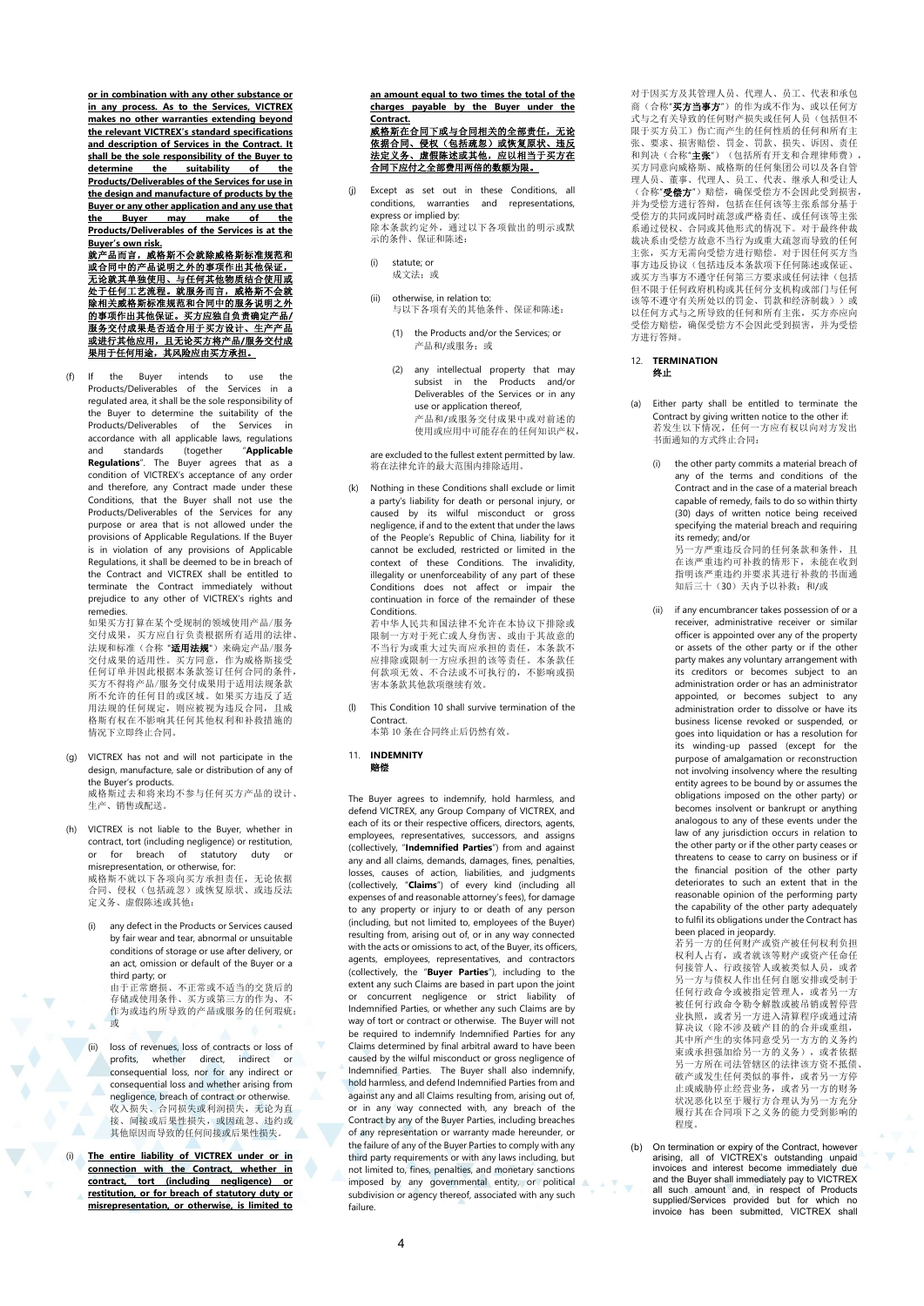**or in combination with any other substance or in any process. As to the Services, VICTREX makes no other warranties extending beyond the relevant VICTREX's standard specifications and description of Services in the Contract. It shall be the sole responsibility of the Buyer to determine the suitability Products/Deliverables of the Services for use in the design and manufacture of products by the Buyer or any other application and any use that**<br>
the Buyer <u>may make of the</u> **the Buyer may make of the Products/Deliverables of the Services is at the** 

B<u>uyer's own risk.</u><br><u>就产品而言,威格斯不会就除威格斯标准规范和<br>或合同中的产品说明之外的事项作出其他保证,<br>无论就其单独使用、宝征何其他物质结合使用或<br>处于任何工艺流程。就服务而言,威格斯不会就</u> 除相关威格斯标准规范和合同中的服务说明之外 的事项作出其他保证。买方应独自负责确定产品**/** 服务交付成果是否适合用于买方设计、生产产品 <u>或进行其他应用,且无论买方将产品/服务交付成</u><br>果用于任何用途,其风险应由买方承担。

(f) If the Buyer intends to use the Products/Deliverables of the Services in a regulated area, it shall be the sole responsibility of the Buyer to determine the suitability of the Products/Deliverables of the Services in accordance with all applicable laws, regulations and standards (together "**Applicable Regulations**". The Buyer agrees that as a condition of VICTREX's acceptance of any order and therefore, any Contract made under these Conditions, that the Buyer shall not use the Products/Deliverables of the Services for any purpose or area that is not allowed under the provisions of Applicable Regulations. If the Buyer is in violation of any provisions of Applicable Regulations, it shall be deemed to be in breach of the Contract and VICTREX shall be entitled to terminate the Contract immediately without prejudice to any other of VICTREX's rights and remedies.

……………<br>如果买方打算在某个受规制的领域使用产品/服务 交付成果,买方应自行负责根据所有适用的法律、 法规和标准(合称"适用法规")来确定产品/服务 交付成果的适用性。买方同意,作为威格斯接受 任何订单并因此根据本条款签订任何合同的条件, 买方不得将产品/服务交付成果用于适用法规条款 所不允许的任何目的或区域。如果买方违反了适 用法规的任何规定,则应被视为违反合同,且威 格斯有权在不影响其任何其他权利和补救措施的 情况下立即终止合同。

- (g) VICTREX has not and will not participate in the design, manufacture, sale or distribution of any of the Buyer's products. 威格斯过去和将来均不参与任何买方产品的设计、 生产、销售或配送。
- (h) VICTREX is not liable to the Buyer, whether in contract, tort (including negligence) or restitution, or for breach of statutory duty or misrepresentation, or otherwise, for: 威格斯不就以下各项向买方承担责任,无论依据 合同、侵权(包括疏忽)或恢复原状、或违反法 定义务、虚假陈述或其他:
	- (i) any defect in the Products or Services caused by fair wear and tear, abnormal or unsuitable conditions of storage or use after delivery, or an act, omission or default of the Buyer or a third party; or 由于正常磨损、不正常或不适当的交货后的 存储或使用条件、买方或第三方的作为、不 作为或违约所导致的产品或服务的任何瑕疵; 或  $\Lambda$
	- (ii) loss of revenues, loss of contracts or loss of profits, whether direct, indirect or consequential loss, nor for any indirect or consequential loss and whether arising from negligence, breach of contract or otherwise. 收入损失、合同损失或利润损失,无论为直<br>接、间接或后果性损失,或因疏忽、违约或<br>其他原因而导致的任何间接或后果性损失。
- (i) **The entire liability of VICTREX under or in connection with the Contract, whether in contract, tort (including negligence) or restitution, or for breach of statutory duty or misrepresentation, or otherwise, is limited to**

**an amount equal to two times the total of the charges payable by the Buyer under the** 

# <u>Contract.</u><br><u>威格斯在合同下或与合同相关的全部责任,无论</u><br>依据合同、侵权(包括疏忽)或恢复原状、违反 <u>法定义务、虚假陈述或其他,应以相当于买方在</u><br>合同下应付之全部费用两倍的数额为限。

- Except as set out in these Conditions, all conditions, warranties and representations, express or implied by: 除本条款约定外,通过以下各项做出的明示或默 示的条件、保证和陈述:
	- (i) statute; or 成文法;或
	- (ii) otherwise, in relation to: 与以下各项有关的其他条件、保证和陈述:
		- (1) the Products and/or the Services; or 产品和/或服务;或
		- (2) any intellectual property that may subsist in the Products and/or Deliverables of the Services or in any use or application thereof, --- - - - - ---- --- -- --------<br>产品和/或服务交付成果中或对前述的 使用或应用中可能存在的任何知识产权,

are excluded to the fullest extent permitted by law. are excreased to the ranear extent permit

(k) Nothing in these Conditions shall exclude or limit a party's liability for death or personal injury, or caused by its wilful misconduct or gross negligence, if and to the extent that under the laws of the People's Republic of China, liability for it cannot be excluded, restricted or limited in the context of these Conditions. The invalidity, illegality or unenforceability of any part of these Conditions does not affect or impair the continuation in force of the remainder of these Conditions. 若中华人民共和国法律不允许在本协议下排除或

限制一方对于死亡或人身伤害、或由于其故意的 不当行为或重大过失而应承担的责任,本条款不 应排除或限制一方应承担的该等责任。本条款任 何款项无效、不合法或不可执行的,不影响或损 害本条款其他款项继续有效。

- This Condition 10 shall survive termination of the Contract. 本第 [10](#page-2-2) 条在合同终止后仍然有效。
- 11. **INDEMNITY**

赔偿

The Buyer agrees to indemnify, hold harmless, and defend VICTREX, any Group Company of VICTREX, and each of its or their respective officers, directors, agents, employees, representatives, successors, and assigns (collectively, "**Indemnified Parties**") from and against any and all claims, demands, damages, fines, penalties, losses, causes of action, liabilities, and judgments (collectively, "**Claims**") of every kind (including all expenses of and reasonable attorney's fees), for damage to any property or injury to or death of any person (including, but not limited to, employees of the Buyer) resulting from, arising out of, or in any way connected with the acts or omissions to act, of the Buyer, its officers, agents, employees, representatives, and contractors (collectively, the "**Buyer Parties**"), including to the extent any such Claims are based in part upon the joint or concurrent negligence or strict liability of Indemnified Parties, or whether any such Claims are by way of tort or contract or otherwise. The Buyer will not be required to indemnify Indemnified Parties for any Claims determined by final arbitral award to have been caused by the wilful misconduct or gross negligence of Indemnified Parties. The Buyer shall also indemnify, hold harmless, and defend Indemnified Parties from and against any and all Claims resulting from, arising out of, or in any way connected with, any breach of the Contract by any of the Buyer Parties, including breaches of any representation or warranty made hereunder, or the failure of any of the Buyer Parties to comply with any third party requirements or with any laws including, but not limited to, fines, penalties, and monetary sanctions imposed by any governmental entity, or political subdivision or agency thereof, associated with any such failure.

对于因买方及其管理人员、代理人、员工、代表和承包 商(合称"**买方当事方**")的作为或不作为、或以任何方<br>式与之有关导致的任何财产损失或任何人员(包括但不 限于买方员工)伤亡而产生的任何性质的任何和所有主 张、要求、损害赔偿、罚金、罚款、损失、诉因、责任 和判决(合称"**主张**")(包括所有开支和合理律师费),<br>买方同意向威格斯、威格斯的任何集团公司以及各自管<br>理人员、董事、代理人、员工、代表、继承人和受让人 (合称"受偿方")赔偿,确保受偿方不会因此受到损害, 并为受偿方进行答辩,包括在任何该等主张系部分基于 受偿方的共同或同时疏忽或严格责任、或任何该等主张 系通过侵权、合同或其他形式的情况下。对于最终仲裁 裁决系由受偿方故意不当行为或重大疏忽而导致的任何 主张,买方无需向受偿方进行赔偿。对于因任何买方当 事方违反协议(包括违反本条款项下任何陈述或保证、 或买方当事方不遵守任何第三方要求或任何法律(包括 但不限于任何政府机构或其任何分支机构或部门与任何 该等不遵守有关所处以的罚金、罚款和经济制裁))或 以任何方式与之所导致的任何和所有主张,买方亦应向 受偿方赔偿,确保受偿方不会因此受到损害,并为受偿 方进行答辩。

#### 12. **TERMINATION** 终止

- (a) Either party shall be entitled to terminate the Contract by giving written notice to the other if:<br>若发生以下情况,任何一方应有权以向对方发出<br>书面通知的方式终止合同:
	- (i) the other party commits a material breach of any of the terms and conditions of the Contract and in the case of a material breach capable of remedy, fails to do so within thirty (30) days of written notice being received specifying the material breach and requiring its remedy; and/or 另一方严重违反合同的任何条款和条件,且

在该严重违约可补救的情形下,未能在收到 指明该严重违约并要求其进行补救的书面通 知后三十(30)天内予以补救;和/或

<span id="page-3-0"></span>if any encumbrancer takes possession of or a receiver, administrative receiver or similar officer is appointed over any of the property or assets of the other party or if the other party makes any voluntary arrangement with its creditors or becomes subject to an administration order or has an administrator appointed, or becomes subject to any administration order to dissolve or have its business license revoked or suspended, or goes into liquidation or has a resolution for its winding-up passed (except for the purpose of amalgamation or reconstruction not involving insolvency where the resulting entity agrees to be bound by or assumes the obligations imposed on the other party) or becomes insolvent or bankrupt or anything analogous to any of these events under the law of any jurisdiction occurs in relation to the other party or if the other party ceases or threatens to cease to carry on business or if the financial position of the other party deteriorates to such an extent that in the reasonable opinion of the performing party the capability of the other party adequately to fulfil its obligations under the Contract has

been placed in jeopardy. 若另一方的任何财产或资产被任何权利负担 权利人占有,或者就该等财产或资产任命任 何接管人、行政接管人或被类似人员,或者 另一方与债权人作出任何自愿安排或受制于 任何行政命令或被指定管理人,或者另一方 被任何行政命令勒令解散或被吊销或暂停营 业执照,或者另一方进入清算程序或通过清 三次, 第二次, 第二次, 第二次, 第二次 其中所产生的实体同意受另一方方的义务约 束或承担强加给另一方的义务),或者依据<br>另一方所在司法管辖区的法律该方资不抵债、 破产或发生任何类似的事件,或者另一方停 止或威胁停止经营业务,或者另一方的财务<br>状况恶化以至于履行方合理认为另一方充分 履行其在合同项下之义务的能力受到影响的 程度。

(b) On termination or expiry of the Contract, however arising, all of VICTREX's outstanding unpaid<br>invoices and interest become immediately due invoices and interest become immediately due<br>and the Buyer shall immediately pay to VICTREX<br>all such amount and, in respect of Products<br>supplied/Services provided but for which no<br>invoice has been submitted, VICTREX shall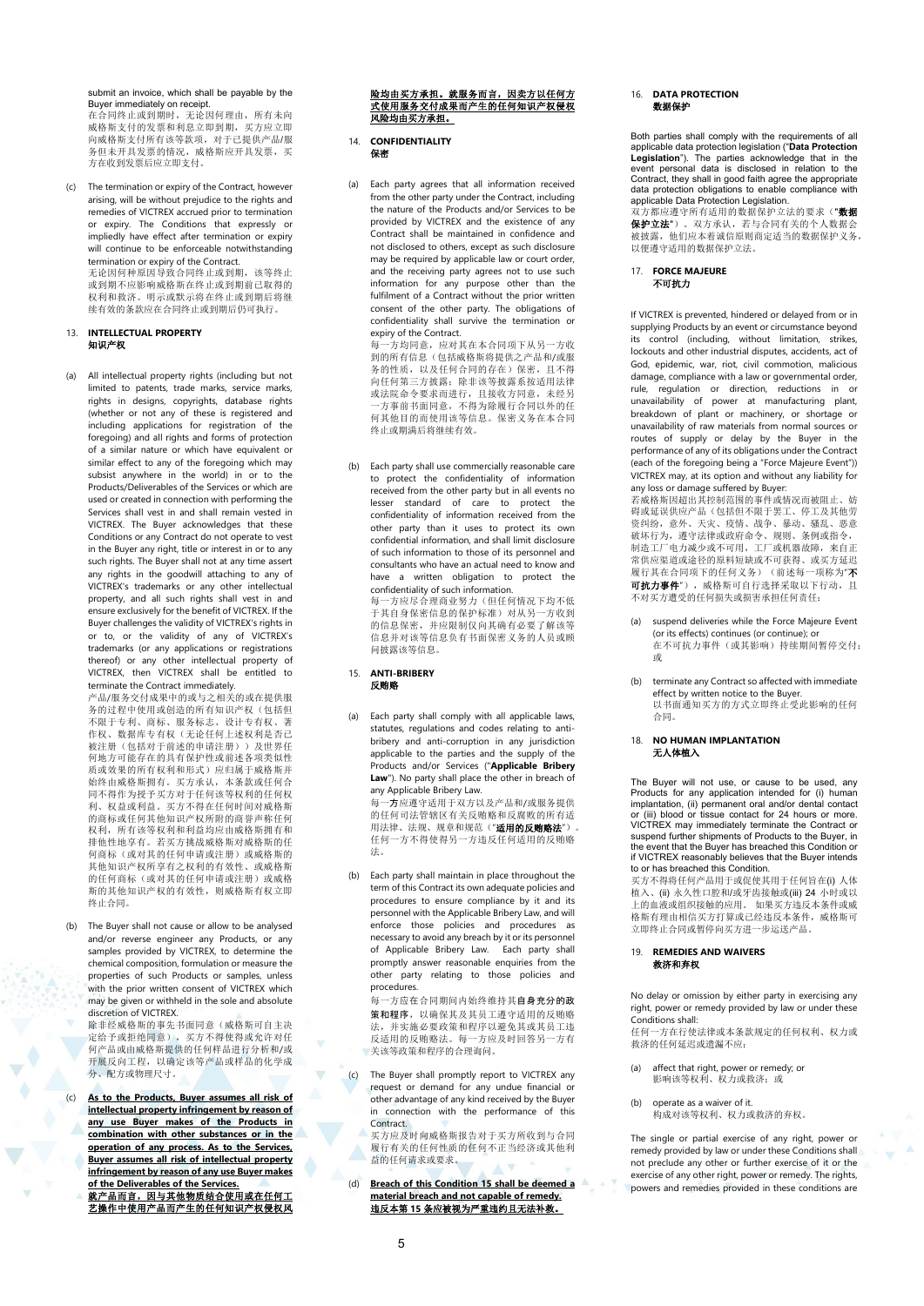submit an invoice, which shall be payable by the Buyer immediately on receipt. 在合同终止或到期时,无论因何理由,所有未向 应自己会主义与为的, 他是自己在出力 所言不同, 向威格斯支付所有该等款项,对于已提供产品/服 务但未开具发票的情况,威格斯应开具发票,买 方在收到发票后应立即支付。

The termination or expiry of the Contract, however arising, will be without prejudice to the rights and remedies of VICTREX accrued prior to termination or expiry. The Conditions that expressly or impliedly have effect after termination or expiry will continue to be enforceable notwithstanding termination or expiry of the Contract. 无论因何种原因导致合同终止或到期,该等终止 或到期不应影响威格斯在终止或到期前已取得的 权利和救济。明示或默示将在终止或到期后将继 续有效的条款应在合同终止或到期后仍可执行。

# <span id="page-4-0"></span>13. **INTELLECTUAL PROPERTY**  知识产权

(a) All intellectual property rights (including but not limited to patents, trade marks, service marks, rights in designs, copyrights, database rights (whether or not any of these is registered and including applications for registration of the foregoing) and all rights and forms of protection of a similar nature or which have equivalent or similar effect to any of the foregoing which may subsist anywhere in the world) in or to the Products/Deliverables of the Services or which are used or created in connection with performing the Services shall vest in and shall remain vested in VICTREX. The Buyer acknowledges that these Conditions or any Contract do not operate to vest in the Buyer any right, title or interest in or to any such rights. The Buyer shall not at any time assert any rights in the goodwill attaching to any of VICTREX's trademarks or any other intellectual property, and all such rights shall vest in and ensure exclusively for the benefit of VICTREX. If the Buyer challenges the validity of VICTREX's rights in or to, or the validity of any of VICTREX's trademarks (or any applications or registrations thereof) or any other intellectual property of VICTREX, then VICTREX shall be entitled to terminate the Contract immediately.

产品/服务交付成果中的或与之相关的或在提供服 务的过程中使用或创造的所有知识产权(包括但 不限于专利、商标、服务标志、设计专有权、著<br>作权、数据库专有权(无论任何上述权利是否已<br>被注册(包括对于前述的申请注册))及世界任 (四) 1948年的《前》第二次第一次 质或效果的所有权利和形式)应归属于威格斯并 始终由威格斯拥有。买方承认,本条款或任何合 同不得作为授予买方对于任何该等权利的任何权 利、权益或利益。买方不得在任何时间对威格斯 的商标或任何其他知识产权所附的商誉声称任何 权利,所有该等权利和利益均应由威格斯拥有和 排他性地享有。若买方挑战威格斯对威格斯的任 何商标(或对其的任何申请或注册)或威格斯的<br>其他知识产权所享有之权利的有效性、或威格斯 的任何商标(或对其的任何申请或注册)或威格 斯的其他知识产权的有效性,则威格斯有权立即 终止合同。

(b) The Buyer shall not cause or allow to be analysed and/or reverse engineer any Products, or any samples provided by VICTREX, to determine the chemical composition, formulation or measure the properties of such Products or samples, unless with the prior written consent of VICTREX which may be given or withheld in the sole and absolute discretion of VICTREX.

除非经威格斯的事先书面同意(威格斯可自主决 定给予或拒绝同意),买方不得使得或允许对任 何产品或由威格斯提供的任何样品进行分析和/或 开展反向工程,以确定该等产品或样品的化学成 分、配方或物理尺寸。

As to the Products, Buyer assumes all risk of **intellectual property infringement by reason of any use Buyer makes of the Products in combination with other substances or in the operation of any process. As to the Services, Buyer assumes all risk of intellectual property infringement by reason of any use Buyer makes of the Deliverables of the Services.** 

就产品而言,因与其他物质结合使用或在任何工 艺操作中使用产品而产生的任何知识产权侵权风

# <u>险均由买方承担。就服务而言,因卖方以任何方</u><br>式使用服务交付成果而产生的任何知识产权侵权 风险均由买方承担。

#### 14. **CONFIDENTIALITY** 保密

(a) Each party agrees that all information received from the other party under the Contract, including the nature of the Products and/or Services to be provided by VICTREX and the existence of any Contract shall be maintained in confidence and not disclosed to others, except as such disclosure may be required by applicable law or court order, and the receiving party agrees not to use such information for any purpose other than the fulfilment of a Contract without the prior written consent of the other party. The obligations of confidentiality shall survive the termination or expiry of the Contract.

每一方均同意,应对其在本合同项下从另一方收 到的所有信息(包括威格斯将提供之产品和/或服 务的性质,以及任何合同的存在)保密,且不得 向任何第三方披露;除非该等披露系按适用法律 或法院命令要求而进行,且接收方同意,未经另 一方事前书面同意,不得为除履行合同以外的任 何其他目的而使用该等信息。保密义务在本合同 终止或期满后将继续有效。

(b) Each party shall use commercially reasonable care to protect the confidentiality of information received from the other party but in all events no lesser standard of care to protect the confidentiality of information received from the other party than it uses to protect its own confidential information, and shall limit disclosure of such information to those of its personnel and consultants who have an actual need to know and have a written obligation to protect the confidentiality of such information.

com.com.com/<br>每一方应尽合理商业努力(但任何情况下均不低 于其自身保密信息的保护标准)对从另一方收到 的信息保密,并应限制仅向其确有必要了解该等 信息并对该等信息负有书面保密义务的人员或顾 问披露该等信息。

#### <span id="page-4-1"></span>15. **ANTI-BRIBERY** 反贿赂

(a) Each party shall comply with all applicable laws, statutes, regulations and codes relating to antibribery and anti-corruption in any jurisdiction applicable to the parties and the supply of the Products and/or Services ("**Applicable Bribery Law**"). No party shall place the other in breach of

any Applicable Bribery Law. 每一方应遵守适用于双方以及产品和/或服务提供 的任何司法管辖区有关反贿赂和反腐败的所有适 用法律、法规、规章和规范("适用的反贿赂法")。 在一方不得使得另一方违反任何适用的反贿赂 法。

(b) Each party shall maintain in place throughout the term of this Contract its own adequate policies and procedures to ensure compliance by it and its personnel with the Applicable Bribery Law, and will enforce those policies and procedures as necessary to avoid any breach by it or its personnel of Applicable Bribery Law. Each party shall promptly answer reasonable enquiries from the other party relating to those policies and procedures.

每一方应在合同期间内始终维持其自身充分的政 策和程序,以确保其及其员工遵守适用的反贿赂 法,并实施必要政策和程序以避免其或其员工违 反适用的反贿赂法。每一方应及时回答另一方有 关该等政策和程序的合理询问。

(c) The Buyer shall promptly report to VICTREX any request or demand for any undue financial or other advantage of any kind received by the Buyer in connection with the performance of this Contract.

买方应及时向威格斯报告对于买方所收到与合同 履行有关的任何性质的任何不正当经济或其他利 益的任何请求或要求。

(d) **Breach of this Conditio[n 15](#page-4-1) shall be deemed a material breach and not capable of remedy.** 违反本第 **[15](#page-4-1)** 条应被视为严重违约且无法补救。

#### 16. **DATA PROTECTION** 数据保护

Both parties shall comply with the requirements of all<br>applicable data protection legislation"). The parties acknowledge that in the<br>**Legislation**"). The parties acknowledge that in the<br>event personal data is disclosed in data protection obligations to enable compliance with applicable Data Protection Legislation.

双方都应遵守所有适用的数据保护立法的要求("数据 **保护立法"**)。双方承认,若与合同有关的个人数据会<br>被披露,他们应本着诚信原则商定适当的数据保护义务, 以便遵守适用的数据保护立法。

17. **FORCE MAJEURE**  ————<br>不可抗力

If VICTREX is prevented, hindered or delayed from or in supplying Products by an event or circumstance beyond its control (including, without limitation, strikes, lockouts and other industrial disputes, accidents, act of God, epidemic, war, riot, civil commotion, malicious damage, compliance with a law or governmental order, rule, regulation or direction, reductions in or unavailability of power at manufacturing plant, breakdown of plant or machinery, or shortage or unavailability of raw materials from normal sources or routes of supply or delay by the Buyer in the performance of any of its obligations under the Contract (each of the foregoing being a "Force Majeure Event")) VICTREX may, at its option and without any liability for any loss or damage suffered by Buyer:

若威格斯因超出其控制范围的事件或情况而被阻止、妨 碍或延误供应产品(包括但不限于罢工、停工及其他劳<br>资纠纷,意外、天灾、疫情、战争、暴动、骚乱、恶意 破坏行为,遵守法律或政府命令、规则、条例或指令,<br>制造工厂电力减少或不可用,工厂或机器故障,来自正 常供应渠道或途径的原料短缺或不可获得、或买方延迟 履行其在合同项下的任何义务)(前述每一项称为"**不 可抗力事件**"), 威格斯可自行选择采取以下行动, 且 不对买方遭受的任何损失或损害承担任何责任:

- suspend deliveries while the Force Majeure Event (or its effects) continues (or continue); or (2) 12 202212, 20010022 (2) 20010022, 20020102, 20020102, 20020102, 20020102, 200 或
- (b) terminate any Contract so affected with immediate effect by written notice to the Buyer. 以书面通知买方的方式立即终止受此影响的任何 合同。

# 18. **NO HUMAN IMPLANTATION** 无人体植入

The Buyer will not use, or cause to be used, any Products for any application, (iii) human intended for (i) human implantation, (ii) permanent oral and/or dental contact or (iii) blood or tissue contact for 24 hours or mor VICTREX may immediately terminate the Contract or suspend further shipments of Products to the Buyer, in the event that the Buyer has breached this Condition or if VICTREX reasonably believes that the Buyer intends to or has breached this Condition.

买方不得将任何产品用于或促使其用于任何旨在(i) 人体 スペート 11:00 1000 10000 3000 20000 10000 10000 10000 10000 10000 10000 10000 10000 10000 10000 10000 1 上的血液或组织接触的应用。 如果买方违反本条件或威<br>格斯有理由相信买方打算或已经违反本条件,威格斯可 立即终止合同或暂停向买方进一步运送产品。

# 19. **REMEDIES AND WAIVERS** 救济和弃权

No delay or omission by either party in exercising any right, power or remedy provided by law or under these Conditions shall:

任何一方在行使法律或本条款规定的任何权利、权力或 救济的任何延迟或遗漏不应:

- (a) affect that right, power or remedy; or 影响该等权利、权力或救济;或
- (b) operate as a waiver of it. 构成对该等权利、权力或救济的弃权。

The single or partial exercise of any right, power or remedy provided by law or under these Conditions shall not preclude any other or further exercise of it or the exercise of any other right, power or remedy. The rights, powers and remedies provided in these conditions are